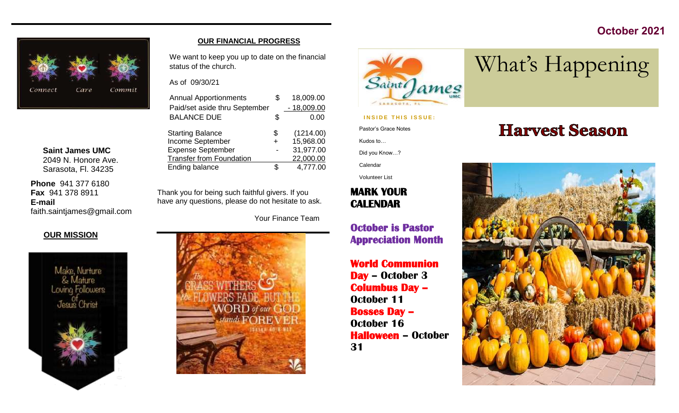## **October 2021**



**Saint James UMC** 2049 N. Honore Ave. Sarasota, Fl. 34235

**Phone** 941 377 6180 **Fax** 941 378 8911 **E-mail** faith.saintjames@gmail.com

#### **OUR MISSION**



#### **OUR FINANCIAL PROGRESS**

We want to keep you up to date on the financial status of the church.

As of 09/30/21

| <b>Annual Apportionments</b>    | 18,009.00       |
|---------------------------------|-----------------|
| Paid/set aside thru September   | $-18,009.00$    |
| <b>BALANCE DUE</b>              | \$<br>0.00      |
| <b>Starting Balance</b>         | \$<br>(1214.00) |
| Income September                | 15,968.00       |
| <b>Expense September</b>        | 31,977.00       |
| <b>Transfer from Foundation</b> | 22,000.00       |
| Ending balance                  | 4,777.00        |

Thank you for being such faithful givers. If you have any questions, please do not hesitate to ask.

Your Finance Team





## **INSIDE THIS ISSUE:**

Pastor's Grace Notes

Kudos to…

Did you Know…?

Calendar

Volunteer List

## **MARK YOUR CALENDAR**

**October is Pastor Appreciation Month** 

**World Communion Day – October 3 Columbus Day – October 11 Bosses Day – October 16 Halloween – October 31**

# **Harvest Season**

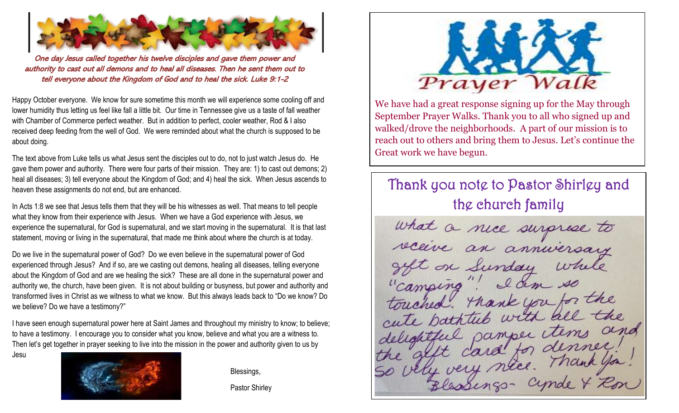

One day Jesus called together his twelve disciples and gave them power and authority to cast out all demons and to heal all diseases. Then he sent them out to tell everyone about the Kingdom of God and to heal the sick. Luke 9:1-2

Happy October everyone. We know for sure sometime this month we will experience some cooling off and lower humidity thus letting us feel like fall a little bit. Our time in Tennessee give us a taste of fall weather with Chamber of Commerce perfect weather. But in addition to perfect, cooler weather, Rod & I also received deep feeding from the well of God. We were reminded about what the church is supposed to be about doing.

The text above from Luke tells us what Jesus sent the disciples out to do, not to just watch Jesus do. He gave them power and authority. There were four parts of their mission. They are: 1) to cast out demons; 2) heal all diseases; 3) tell everyone about the Kingdom of God; and 4) heal the sick. When Jesus ascends to heaven these assignments do not end, but are enhanced.

In Acts 1:8 we see that Jesus tells them that they will be his witnesses as well. That means to tell people what they know from their experience with Jesus. When we have a God experience with Jesus, we experience the supernatural, for God is supernatural, and we start moving in the supernatural. It is that last statement, moving or living in the supernatural, that made me think about where the church is at today.

Do we live in the supernatural power of God? Do we even believe in the supernatural power of God experienced through Jesus? And if so, are we casting out demons, healing all diseases, telling everyone about the Kingdom of God and are we healing the sick? These are all done in the supernatural power and authority we, the church, have been given. It is not about building or busyness, but power and authority and transformed lives in Christ as we witness to what we know. But this always leads back to "Do we know? Do we believe? Do we have a testimony?"

I have seen enough supernatural power here at Saint James and throughout my ministry to know; to believe; to have a testimony. I encourage you to consider what you know, believe and what you are a witness to. Then let's get together in prayer seeking to live into the mission in the power and authority given to us by

Jesu



Blessings,

Pastor Shirley



We have had a great response signing up for the May through September Prayer Walks. Thank you to all who signed up and walked/drove the neighborhoods. A part of our mission is to reach out to others and bring them to Jesus. Let's continue the Great work we have begun.

# Thank you note to Pastor Shirley and the church family

what a nice surprise to get on Sunday while "camping"! I d'un so touched. Thank you for the cute bathtub with all the delightful pamper tems and card for denner. ly very nice. Thank you!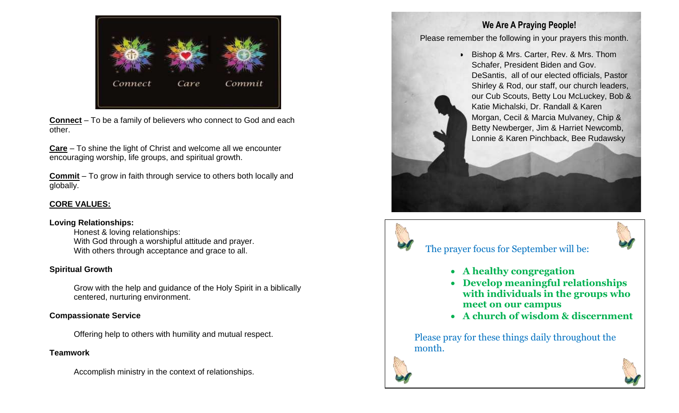

**Connect** – To be a family of believers who connect to God and each other.

**Care** – To shine the light of Christ and welcome all we encounter encouraging worship, life groups, and spiritual growth.

**Commit** – To grow in faith through service to others both locally and globally.

#### **CORE VALUES:**

#### **Loving Relationships:**

Honest & loving relationships: With God through a worshipful attitude and prayer. With others through acceptance and grace to all.

#### **Spiritual Growth**

Grow with the help and guidance of the Holy Spirit in a biblically centered, nurturing environment.

#### **Compassionate Service**

Offering help to others with humility and mutual respect.

### **Teamwork**

Accomplish ministry in the context of relationships.

## **We Are A Praying People!**

Please remember the following in your prayers this month.

• Bishop & Mrs. Carter, Rev. & Mrs. Thom Schafer, President Biden and Gov. DeSantis, all of our elected officials, Pastor Shirley & Rod, our staff, our church leaders, our Cub Scouts, Betty Lou McLuckey, Bob & Katie Michalski, Dr. Randall & Karen Morgan, Cecil & Marcia Mulvaney, Chip & Betty Newberger, Jim & Harriet Newcomb, Lonnie & Karen Pinchback, Bee Rudawsky

## The prayer focus for September will be:



- **A healthy congregation**
- **Develop meaningful relationships with individuals in the groups who meet on our campus**
- **A church of wisdom & discernment**

Please pray for these things daily throughout the month.



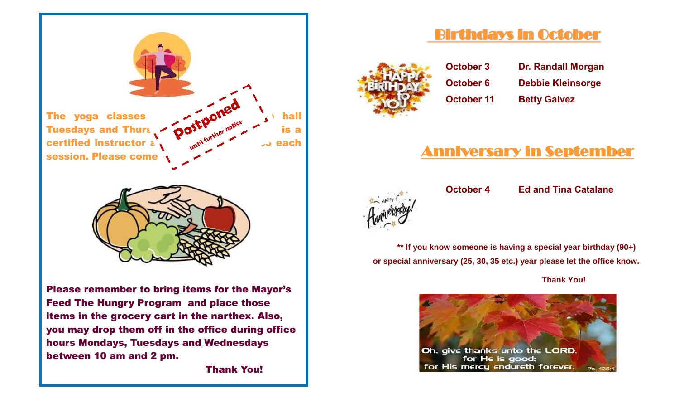

Thank You!

# Birthdays in October



- 
- **October 3 Dr. Randall Morgan October 6 Debbie Kleinsorge October 11 Betty Galvez**

# Anniversary in September



**October 4 Ed and Tina Catalane**

**\*\* If you know someone is having a special year birthday (90+) or special anniversary (25, 30, 35 etc.) year please let the office know.** 

 **Thank You!** 

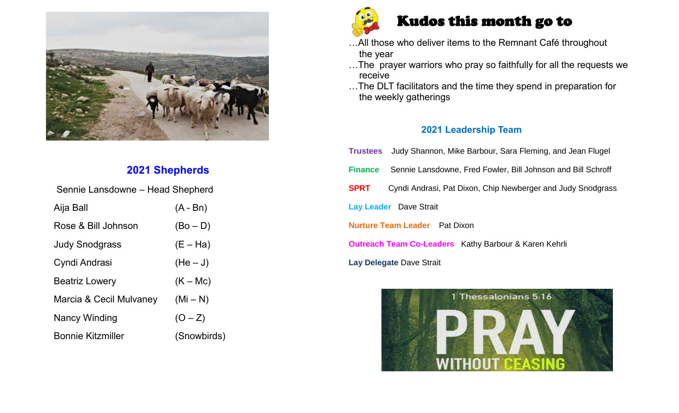

## **2021 Shepherds**

| Sennie Lansdowne – Head Shepherd |             |  |  |  |  |  |  |  |  |
|----------------------------------|-------------|--|--|--|--|--|--|--|--|
| Aija Ball                        | $(A - Bn)$  |  |  |  |  |  |  |  |  |
| Rose & Bill Johnson              | $(Bo - D)$  |  |  |  |  |  |  |  |  |
| <b>Judy Snodgrass</b>            | $(E - Ha)$  |  |  |  |  |  |  |  |  |
| Cyndi Andrasi                    | $(He-J)$    |  |  |  |  |  |  |  |  |
| <b>Beatriz Lowery</b>            | $(K - Mc)$  |  |  |  |  |  |  |  |  |
| Marcia & Cecil Mulvaney          | $(Mi-N)$    |  |  |  |  |  |  |  |  |
| Nancy Winding                    | $(O - Z)$   |  |  |  |  |  |  |  |  |
| <b>Bonnie Kitzmiller</b>         | (Snowbirds) |  |  |  |  |  |  |  |  |



# Kudos this month go to

- …All those who deliver items to the Remnant Café throughout the year
- ...The prayer warriors who pray so faithfully for all the requests we receive
- …The DLT facilitators and the time they spend in preparation for the weekly gatherings

### **2021 Leadership Team**

|                                      | Trustees Judy Shannon, Mike Barbour, Sara Fleming, and Jean Flugel |  |  |  |  |  |  |  |  |
|--------------------------------------|--------------------------------------------------------------------|--|--|--|--|--|--|--|--|
| <b>Finance</b>                       | Sennie Lansdowne, Fred Fowler, Bill Johnson and Bill Schroff       |  |  |  |  |  |  |  |  |
| <b>SPRT</b>                          | Cyndi Andrasi, Pat Dixon, Chip Newberger and Judy Snodgrass        |  |  |  |  |  |  |  |  |
|                                      | <b>Lay Leader</b> Dave Strait                                      |  |  |  |  |  |  |  |  |
| <b>Nurture Team Leader</b> Pat Dixon |                                                                    |  |  |  |  |  |  |  |  |
|                                      | <b>Outreach Team Co-Leaders</b> Kathy Barbour & Karen Kehrli       |  |  |  |  |  |  |  |  |
|                                      | Lay Delegate Dave Strait                                           |  |  |  |  |  |  |  |  |

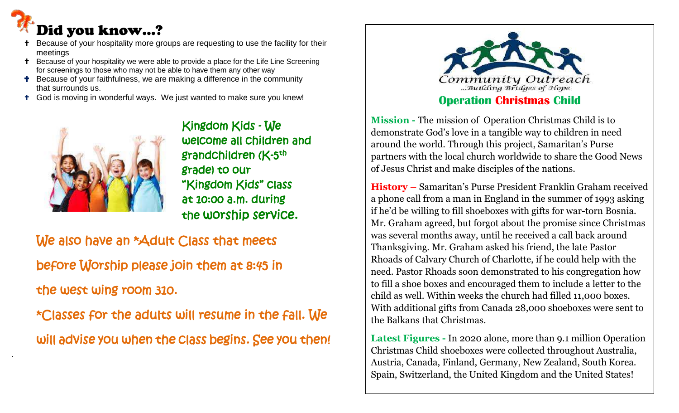# Did you know…?

ľ

- Because of your hospitality more groups are requesting to use the facility for their meetings
- <sup>+</sup> Because of your hospitality we were able to provide a place for the Life Line Screening for screenings to those who may not be able to have them any other way
- **T** Because of your faithfulness, we are making a difference in the community that surrounds us.
- God is moving in wonderful ways. We just wanted to make sure you knew!



 Kingdom Kids - We welcome all children and grade) to our "Kingdom Kids" class at 10:00 a.m. during the worship service.

We also have an \*Adult Class that meets before Worship please join them at 8:45 in the west wing room 310.

 \*Classes for the adults will resume in the fall. We will advise you when the class begins. See you then!



## **Operation Christmas Child**

**Mission -** The mission of Operation Christmas Child is to demonstrate God's love in a tangible way to children in need around the world. Through this project, Samaritan's Purse partners with the local church worldwide to share the Good News of Jesus Christ and make disciples of the nations.

**History –** Samaritan's Purse President Franklin Graham received a phone call from a man in England in the summer of 1993 asking if he'd be willing to fill shoeboxes with gifts for war-torn Bosnia. Mr. Graham agreed, but forgot about the promise since Christmas was several months away, until he received a call back around Thanksgiving. Mr. Graham asked his friend, the late Pastor Rhoads of Calvary Church of Charlotte, if he could help with the need. Pastor Rhoads soon demonstrated to his congregation how to fill a shoe boxes and encouraged them to include a letter to the child as well. Within weeks the church had filled 11,000 boxes. With additional gifts from Canada 28,000 shoeboxes were sent to the Balkans that Christmas.

**Latest Figures -** In 2020 alone, more than 9.1 million Operation Christmas Child shoeboxes were collected throughout Australia, Austria, Canada, Finland, Germany, New Zealand, South Korea. Spain, Switzerland, the United Kingdom and the United States!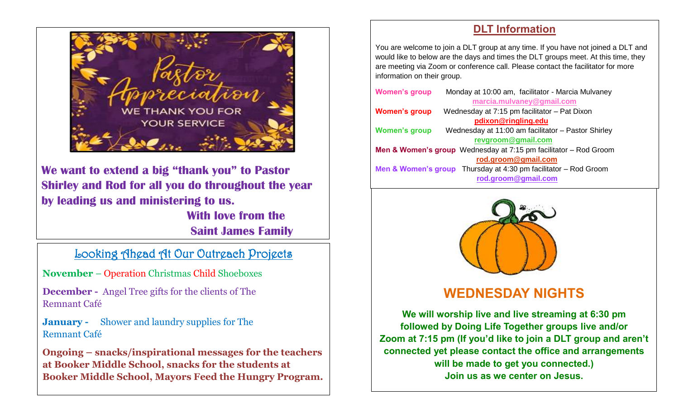

**We want to extend a big "thank you" to Pastor Shirley and Rod for all you do throughout the year by leading us and ministering to us. With love from the** 

**Saint James Family**

## Looking Ahead At Our Outreach Projects

**November** – Operation Christmas Child Shoeboxes

**December -** Angel Tree gifts for the clients of The Remnant Café

**January -** Shower and laundry supplies for The Remnant Café

**Ongoing – snacks/inspirational messages for the teachers at Booker Middle School, snacks for the students at Booker Middle School, Mayors Feed the Hungry Program.** 

## **DLT Information**

You are welcome to join a DLT group at any time. If you have not joined a DLT and would like to below are the days and times the DLT groups meet. At this time, they are meeting via Zoom or conference call. Please contact the facilitator for more information on their group.

| <b>Women's group</b> | Monday at 10:00 am, facilitator - Marcia Mulvaney                               |
|----------------------|---------------------------------------------------------------------------------|
|                      | marcia.mulvaney@gmail.com                                                       |
| <b>Women's group</b> | Wednesday at 7:15 pm facilitator - Pat Dixon                                    |
|                      | pdixon@ringling.edu                                                             |
| <b>Women's group</b> | Wednesday at 11:00 am facilitator - Pastor Shirley                              |
|                      | revgroom@gmail.com                                                              |
|                      | <b>Men &amp; Women's group</b> Wednesday at $7:15$ pm facilitator $-$ Rod Groom |
|                      | rod.groom@gmail.com                                                             |
|                      | <b>Men &amp; Women's group</b> Thursday at 4:30 pm facilitator $-$ Rod Groom    |
|                      | rod.groom@gmail.com                                                             |
|                      |                                                                                 |



## **WEDNESDAY NIGHTS**

**We will worship live and live streaming at 6:30 pm followed by Doing Life Together groups live and/or Zoom at 7:15 pm (If you'd like to join a DLT group and aren't connected yet please contact the office and arrangements will be made to get you connected.) Join us as we center on Jesus.**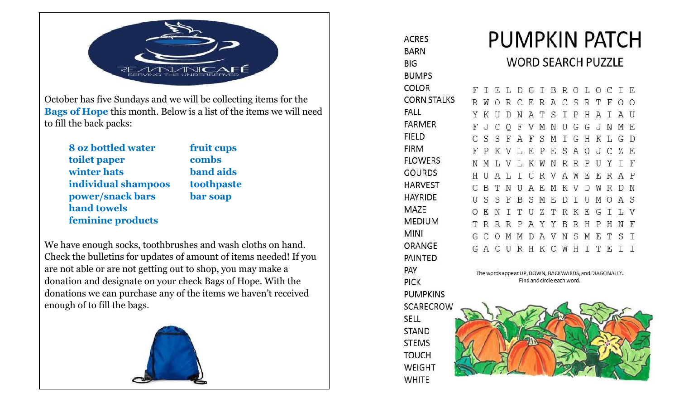

October has five Sundays and we will be collecting items for the **Bags of Hope** this month. Below is a list of the items we will need to fill the back packs:

**8 oz bottled water fruit cups toilet paper combs winter hats band aids individual shampoos toothpaste power/snack bars bar soap hand towels feminine products**

We have enough socks, toothbrushes and wash cloths on hand. Check the bulletins for updates of amount of items needed! If you are not able or are not getting out to shop, you may make a donation and designate on your check Bags of Hope. With the donations we can purchase any of the items we haven't received enough of to fill the bags.



**ACRES BARN BIG BUMPS COLOR CORN STALKS FALL FARMER FIELD FIRM FLOWERS GOURDS HARVEST HAYRIDE** MAZE **MEDIUM MINI** ORANGE PAINTED PAY **PICK PUMPKINS SCARECROW SELL STAND STEMS TOUCH** WEIGHT **WHITE** 

# **PUMPKIN PATCH**

## **WORD SEARCH PUZZLE**

|  |     |  |  |                           |  |                 |     |     | FIELDGIBROLOCIE               |  |
|--|-----|--|--|---------------------------|--|-----------------|-----|-----|-------------------------------|--|
|  |     |  |  |                           |  |                 |     |     | R W O R C E R A C S R T F O O |  |
|  |     |  |  | YKUDNATSIPHAI             |  |                 |     |     | AU                            |  |
|  |     |  |  | F J C Q F V M N U G G J N |  |                 |     |     | МE                            |  |
|  |     |  |  | CSSFAFSMIGHKL             |  |                 |     |     | G D                           |  |
|  |     |  |  | F P K V L E P E S A O J C |  |                 |     |     | ΖE                            |  |
|  |     |  |  | NMLVLKWNRRP               |  |                 |     |     | UYIF                          |  |
|  |     |  |  |                           |  | HUALICRVAWEERAP |     |     |                               |  |
|  |     |  |  |                           |  |                 |     |     |                               |  |
|  | C B |  |  |                           |  |                 |     |     | TNUAEMKVDWRDN                 |  |
|  |     |  |  | USSFBSMEDIUMO             |  |                 |     |     | A S                           |  |
|  |     |  |  | OENITUZTRKEGI             |  |                 |     |     | L V                           |  |
|  |     |  |  | TRRRPAYYBRH               |  |                 | P H |     | N F                           |  |
|  |     |  |  | GCOMMDAVNSM               |  |                 |     | E T | S T                           |  |
|  |     |  |  | GACURHKCWHITE             |  |                 |     |     | $T$ T                         |  |

The words appear UP, DOWN, BACKWARDS, and DIAGONALLY. Find and circle each word.

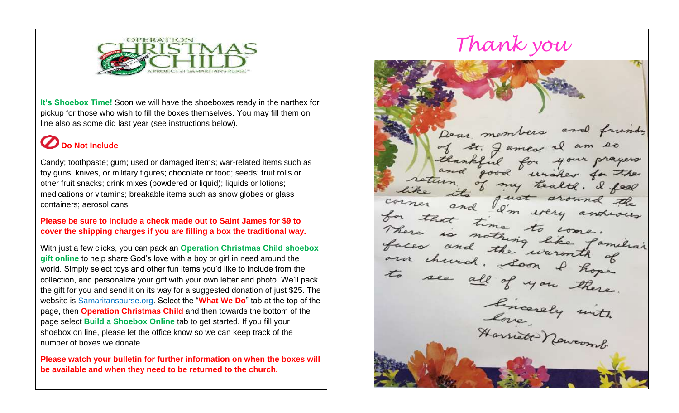

**It's Shoebox Time!** Soon we will have the shoeboxes ready in the narthex for pickup for those who wish to fill the boxes themselves. You may fill them on line also as some did last year (see instructions below).

# **D** Do Not Include

Candy; toothpaste; gum; used or damaged items; war-related items such as toy guns, knives, or military figures; chocolate or food; seeds; fruit rolls or other fruit snacks; drink mixes (powdered or liquid); liquids or lotions; medications or vitamins; breakable items such as snow globes or glass containers; aerosol cans.

**Please be sure to include a check made out to Saint James for \$9 to cover the shipping charges if you are filling a box the traditional way.** 

With just a few clicks, you can pack an **Operation Christmas Child shoebox gift online** to help share God's love with a boy or girl in need around the world. Simply select toys and other fun items you'd like to include from the collection, and personalize your gift with your own letter and photo. We'll pack the gift for you and send it on its way for a suggested donation of just \$25. The website is Samaritanspurse.org. Select the "**What We Do**" tab at the top of the page, then **Operation Christmas Child** and then towards the bottom of the page select **Build a Shoebox Online** tab to get started. If you fill your shoebox on line, please let the office know so we can keep track of the number of boxes we donate.

**Please watch your bulletin for further information on when the boxes will be available and when they need to be returned to the church.**

*Thank you*Dear members and friends St. James unsher for the my health. I feel corner and I'm very andrews<br>for that time to come imitial<br>paces and the warmth of<br>an church. Loon I hope<br>to see all of you there.<br>Love bicarely with<br>Harrist Nowcomb.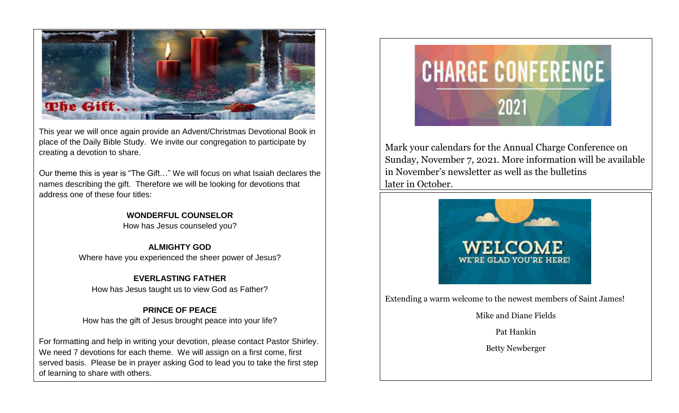

This year we will once again provide an Advent/Christmas Devotional Book in place of the Daily Bible Study. We invite our congregation to participate by creating a devotion to share.

Our theme this is year is "The Gift…" We will focus on what Isaiah declares the names describing the gift. Therefore we will be looking for devotions that address one of these four titles:

#### **WONDERFUL COUNSELOR**

How has Jesus counseled you?

**ALMIGHTY GOD** Where have you experienced the sheer power of Jesus?

**EVERLASTING FATHER** How has Jesus taught us to view God as Father?

### **PRINCE OF PEACE**

How has the gift of Jesus brought peace into your life?

For formatting and help in writing your devotion, please contact Pastor Shirley. We need 7 devotions for each theme. We will assign on a first come, first served basis. Please be in prayer asking God to lead you to take the first step of learning to share with others.



Mark your calendars for the Annual Charge Conference on Sunday, November 7, 2021. More information will be available in November's newsletter as well as the bulletins later in October.



Extending a warm welcome to the newest members of Saint James!

Mike and Diane Fields

Pat Hankin

Betty Newberger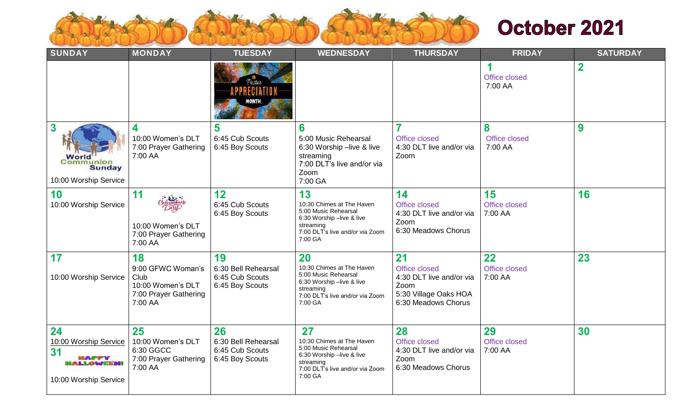

# October 2021

| <b>SUNDAY</b>                                                                                   | <b>MONDAY</b>                                                                            | <b>TUESDAY</b>                                                  | <b>WEDNESDAY</b>                                                                                                                                | <b>THURSDAY</b>                                                                                         | <b>FRIDAY</b>                  | <b>SATURDAY</b> |
|-------------------------------------------------------------------------------------------------|------------------------------------------------------------------------------------------|-----------------------------------------------------------------|-------------------------------------------------------------------------------------------------------------------------------------------------|---------------------------------------------------------------------------------------------------------|--------------------------------|-----------------|
|                                                                                                 |                                                                                          | Pastor                                                          |                                                                                                                                                 |                                                                                                         | 1<br>Office closed<br>7:00 AA  | $\mathbf 2$     |
| $\boldsymbol{3}$<br>World<br><b>Communion</b><br>Sunday<br>10:00 Worship Service                | 4<br>10:00 Women's DLT<br>7:00 Prayer Gathering<br>7:00 AA                               | 5<br>6:45 Cub Scouts<br>6:45 Boy Scouts                         | 6<br>5:00 Music Rehearsal<br>6:30 Worship -live & live<br>streaming<br>7:00 DLT's live and/or via<br>Zoom<br>7:00 GA                            | Office closed<br>4:30 DLT live and/or via<br>Zoom                                                       | 8<br>Office closed<br>7:00 AA  | 9               |
| 10<br>10:00 Worship Service                                                                     | 11<br>clumbars<br>10:00 Women's DLT<br>7:00 Prayer Gathering<br>7:00 AA                  | 12<br>6:45 Cub Scouts<br>6:45 Boy Scouts                        | 13<br>10:30 Chimes at The Haven<br>5:00 Music Rehearsal<br>6:30 Worship -live & live<br>streaming<br>7:00 DLT's live and/or via Zoom<br>7:00 GA | 14<br>Office closed<br>4:30 DLT live and/or via<br>Zoom<br>6:30 Meadows Chorus                          | 15<br>Office closed<br>7:00 AA | 16              |
| 17<br>10:00 Worship Service                                                                     | 18<br>9:00 GFWC Woman's<br>Club<br>10:00 Women's DLT<br>7:00 Prayer Gathering<br>7:00 AA | 19<br>6:30 Bell Rehearsal<br>6:45 Cub Scouts<br>6:45 Boy Scouts | 20<br>10:30 Chimes at The Haven<br>5:00 Music Rehearsal<br>6:30 Worship -live & live<br>streaming<br>7:00 DLT's live and/or via Zoom<br>7:00 GA | 21<br>Office closed<br>4:30 DLT live and/or via<br>Zoom<br>5:30 Village Oaks HOA<br>6:30 Meadows Chorus | 22<br>Office closed<br>7:00 AA | 23              |
| 24<br>10:00 Worship Service<br>31<br><b>HAPPY</b><br><b>ALLOWEEDS!</b><br>10:00 Worship Service | 25<br>10:00 Women's DLT<br>6:30 GGCC<br>7:00 Prayer Gathering<br>7:00 AA                 | 26<br>6:30 Bell Rehearsal<br>6:45 Cub Scouts<br>6:45 Boy Scouts | 27<br>10:30 Chimes at The Haven<br>5:00 Music Rehearsal<br>6:30 Worship -live & live<br>streaming<br>7:00 DLT's live and/or via Zoom<br>7:00 GA | 28<br>Office closed<br>4:30 DLT live and/or via<br>Zoom<br>6:30 Meadows Chorus                          | 29<br>Office closed<br>7:00 AA | 30              |